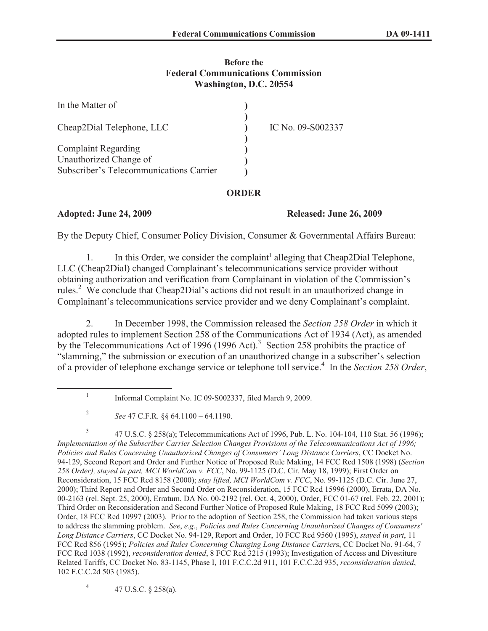### **Before the Federal Communications Commission Washington, D.C. 20554**

| In the Matter of                                     |                   |
|------------------------------------------------------|-------------------|
| Cheap2Dial Telephone, LLC                            | IC No. 09-S002337 |
| <b>Complaint Regarding</b><br>Unauthorized Change of |                   |
| Subscriber's Telecommunications Carrier              |                   |

# **ORDER**

# **Adopted: June 24, 2009 Released: June 26, 2009**

By the Deputy Chief, Consumer Policy Division, Consumer & Governmental Affairs Bureau:

1. In this Order, we consider the complaint<sup>1</sup> alleging that Cheap2Dial Telephone, LLC (Cheap2Dial) changed Complainant's telecommunications service provider without obtaining authorization and verification from Complainant in violation of the Commission's rules.<sup>2</sup> We conclude that Cheap2Dial's actions did not result in an unauthorized change in Complainant's telecommunications service provider and we deny Complainant's complaint.

2. In December 1998, the Commission released the *Section 258 Order* in which it adopted rules to implement Section 258 of the Communications Act of 1934 (Act), as amended by the Telecommunications Act of 1996 (1996 Act).<sup>3</sup> Section 258 prohibits the practice of "slamming," the submission or execution of an unauthorized change in a subscriber's selection of a provider of telephone exchange service or telephone toll service.<sup>4</sup> In the *Section 258 Order*,

4 47 U.S.C. § 258(a).

<sup>1</sup> Informal Complaint No. IC 09-S002337, filed March 9, 2009.

<sup>2</sup> *See* 47 C.F.R. §§ 64.1100 – 64.1190.

<sup>3</sup> 47 U.S.C. § 258(a); Telecommunications Act of 1996, Pub. L. No. 104-104, 110 Stat. 56 (1996); *Implementation of the Subscriber Carrier Selection Changes Provisions of the Telecommunications Act of 1996; Policies and Rules Concerning Unauthorized Changes of Consumers' Long Distance Carriers*, CC Docket No. 94-129, Second Report and Order and Further Notice of Proposed Rule Making, 14 FCC Rcd 1508 (1998) (*Section 258 Order), stayed in part, MCI WorldCom v. FCC*, No. 99-1125 (D.C. Cir. May 18, 1999); First Order on Reconsideration, 15 FCC Rcd 8158 (2000); *stay lifted, MCI WorldCom v. FCC*, No. 99-1125 (D.C. Cir. June 27, 2000); Third Report and Order and Second Order on Reconsideration, 15 FCC Rcd 15996 (2000), Errata, DA No. 00-2163 (rel. Sept. 25, 2000), Erratum, DA No. 00-2192 (rel. Oct. 4, 2000), Order, FCC 01-67 (rel. Feb. 22, 2001); Third Order on Reconsideration and Second Further Notice of Proposed Rule Making, 18 FCC Rcd 5099 (2003); Order, 18 FCC Rcd 10997 (2003). Prior to the adoption of Section 258, the Commission had taken various steps to address the slamming problem. *See*, *e.g.*, *Policies and Rules Concerning Unauthorized Changes of Consumers' Long Distance Carriers*, CC Docket No. 94-129, Report and Order, 10 FCC Rcd 9560 (1995), *stayed in part*, 11 FCC Rcd 856 (1995); *Policies and Rules Concerning Changing Long Distance Carrier*s, CC Docket No. 91-64, 7 FCC Rcd 1038 (1992), *reconsideration denied*, 8 FCC Rcd 3215 (1993); Investigation of Access and Divestiture Related Tariffs, CC Docket No. 83-1145, Phase I, 101 F.C.C.2d 911, 101 F.C.C.2d 935, *reconsideration denied*, 102 F.C.C.2d 503 (1985).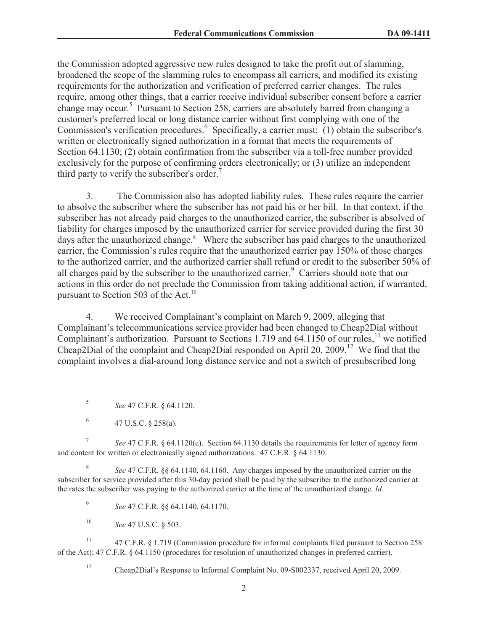the Commission adopted aggressive new rules designed to take the profit out of slamming, broadened the scope of the slamming rules to encompass all carriers, and modified its existing requirements for the authorization and verification of preferred carrier changes. The rules require, among other things, that a carrier receive individual subscriber consent before a carrier change may occur.<sup>5</sup> Pursuant to Section 258, carriers are absolutely barred from changing a customer's preferred local or long distance carrier without first complying with one of the Commission's verification procedures.<sup>6</sup> Specifically, a carrier must: (1) obtain the subscriber's written or electronically signed authorization in a format that meets the requirements of Section 64.1130; (2) obtain confirmation from the subscriber via a toll-free number provided exclusively for the purpose of confirming orders electronically; or (3) utilize an independent third party to verify the subscriber's order.<sup>7</sup>

3. The Commission also has adopted liability rules. These rules require the carrier to absolve the subscriber where the subscriber has not paid his or her bill. In that context, if the subscriber has not already paid charges to the unauthorized carrier, the subscriber is absolved of liability for charges imposed by the unauthorized carrier for service provided during the first 30 days after the unauthorized change.<sup>8</sup> Where the subscriber has paid charges to the unauthorized carrier, the Commission's rules require that the unauthorized carrier pay 150% of those charges to the authorized carrier, and the authorized carrier shall refund or credit to the subscriber 50% of all charges paid by the subscriber to the unauthorized carrier.<sup>9</sup> Carriers should note that our actions in this order do not preclude the Commission from taking additional action, if warranted, pursuant to Section 503 of the Act.<sup>10</sup>

4. We received Complainant's complaint on March 9, 2009, alleging that Complainant's telecommunications service provider had been changed to Cheap2Dial without Complainant's authorization. Pursuant to Sections 1.719 and  $64.1150$  of our rules,<sup>11</sup> we notified Cheap2Dial of the complaint and Cheap2Dial responded on April 20, 2009.<sup>12</sup> We find that the complaint involves a dial-around long distance service and not a switch of presubscribed long

7 *See* 47 C.F.R. § 64.1120(c). Section 64.1130 details the requirements for letter of agency form and content for written or electronically signed authorizations. 47 C.F.R. § 64.1130.

8 *See* 47 C.F.R. §§ 64.1140, 64.1160. Any charges imposed by the unauthorized carrier on the subscriber for service provided after this 30-day period shall be paid by the subscriber to the authorized carrier at the rates the subscriber was paying to the authorized carrier at the time of the unauthorized change. *Id.*

9 *See* 47 C.F.R. §§ 64.1140, 64.1170.

<sup>10</sup> *See* 47 U.S.C. § 503.

<sup>11</sup> 47 C.F.R. § 1.719 (Commission procedure for informal complaints filed pursuant to Section 258 of the Act); 47 C.F.R. § 64.1150 (procedures for resolution of unauthorized changes in preferred carrier).

<sup>12</sup> Cheap2Dial's Response to Informal Complaint No. 09-S002337, received April 20, 2009.

<sup>5</sup> *See* 47 C.F.R. § 64.1120.

<sup>6</sup> 47 U.S.C. § 258(a).